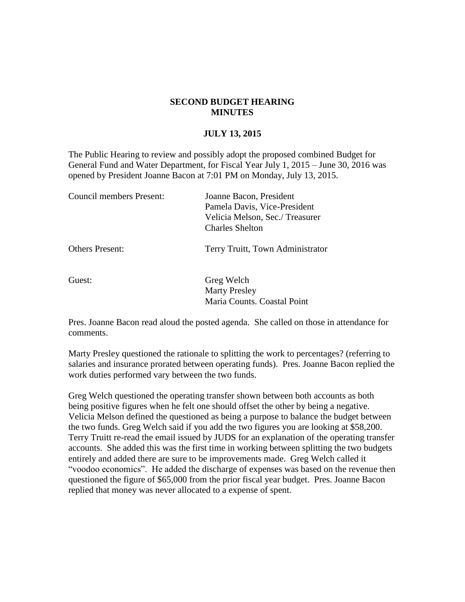## **SECOND BUDGET HEARING MINUTES**

## **JULY 13, 2015**

The Public Hearing to review and possibly adopt the proposed combined Budget for General Fund and Water Department, for Fiscal Year July 1, 2015 – June 30, 2016 was opened by President Joanne Bacon at 7:01 PM on Monday, July 13, 2015.

| Council members Present: | Joanne Bacon, President          |
|--------------------------|----------------------------------|
|                          | Pamela Davis, Vice-President     |
|                          | Velicia Melson, Sec./Treasurer   |
|                          | <b>Charles Shelton</b>           |
| <b>Others Present:</b>   | Terry Truitt, Town Administrator |
| Guest:                   | Greg Welch                       |

Pres. Joanne Bacon read aloud the posted agenda. She called on those in attendance for comments.

Marty Presley

Maria Counts. Coastal Point

Marty Presley questioned the rationale to splitting the work to percentages? (referring to salaries and insurance prorated between operating funds). Pres. Joanne Bacon replied the work duties performed vary between the two funds.

Greg Welch questioned the operating transfer shown between both accounts as both being positive figures when he felt one should offset the other by being a negative. Velicia Melson defined the questioned as being a purpose to balance the budget between the two funds. Greg Welch said if you add the two figures you are looking at \$58,200. Terry Truitt re-read the email issued by JUDS for an explanation of the operating transfer accounts. She added this was the first time in working between splitting the two budgets entirely and added there are sure to be improvements made. Greg Welch called it "voodoo economics". He added the discharge of expenses was based on the revenue then questioned the figure of \$65,000 from the prior fiscal year budget. Pres. Joanne Bacon replied that money was never allocated to a expense of spent.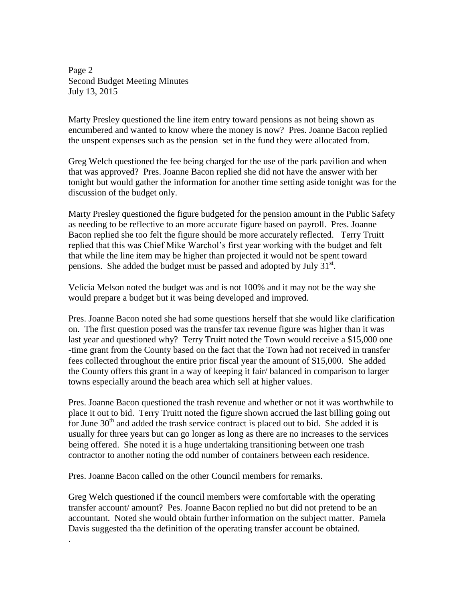Page 2 Second Budget Meeting Minutes July 13, 2015

Marty Presley questioned the line item entry toward pensions as not being shown as encumbered and wanted to know where the money is now? Pres. Joanne Bacon replied the unspent expenses such as the pension set in the fund they were allocated from.

Greg Welch questioned the fee being charged for the use of the park pavilion and when that was approved? Pres. Joanne Bacon replied she did not have the answer with her tonight but would gather the information for another time setting aside tonight was for the discussion of the budget only.

Marty Presley questioned the figure budgeted for the pension amount in the Public Safety as needing to be reflective to an more accurate figure based on payroll. Pres. Joanne Bacon replied she too felt the figure should be more accurately reflected. Terry Truitt replied that this was Chief Mike Warchol's first year working with the budget and felt that while the line item may be higher than projected it would not be spent toward pensions. She added the budget must be passed and adopted by July  $31<sup>st</sup>$ .

Velicia Melson noted the budget was and is not 100% and it may not be the way she would prepare a budget but it was being developed and improved.

Pres. Joanne Bacon noted she had some questions herself that she would like clarification on. The first question posed was the transfer tax revenue figure was higher than it was last year and questioned why? Terry Truitt noted the Town would receive a \$15,000 one -time grant from the County based on the fact that the Town had not received in transfer fees collected throughout the entire prior fiscal year the amount of \$15,000. She added the County offers this grant in a way of keeping it fair/ balanced in comparison to larger towns especially around the beach area which sell at higher values.

Pres. Joanne Bacon questioned the trash revenue and whether or not it was worthwhile to place it out to bid. Terry Truitt noted the figure shown accrued the last billing going out for June  $30<sup>th</sup>$  and added the trash service contract is placed out to bid. She added it is usually for three years but can go longer as long as there are no increases to the services being offered. She noted it is a huge undertaking transitioning between one trash contractor to another noting the odd number of containers between each residence.

Pres. Joanne Bacon called on the other Council members for remarks.

.

Greg Welch questioned if the council members were comfortable with the operating transfer account/ amount? Pes. Joanne Bacon replied no but did not pretend to be an accountant. Noted she would obtain further information on the subject matter. Pamela Davis suggested tha the definition of the operating transfer account be obtained.